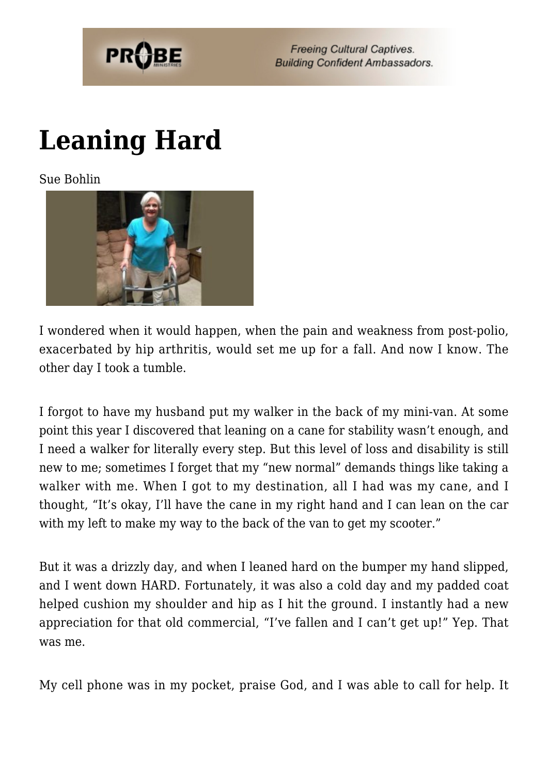

**Freeing Cultural Captives. Building Confident Ambassadors.** 

## **[Leaning Hard](https://probe.org/leaning-hard/)**

Sue Bohlin



I wondered when it would happen, when the pain and weakness from post-polio, exacerbated by hip arthritis, would set me up for a fall. And now I know. The other day I took a tumble.

I forgot to have my husband put my walker in the back of my mini-van. At some point this year I discovered that leaning on a cane for stability wasn't enough, and I need a walker for literally every step. But this level of loss and disability is still new to me; sometimes I forget that my "new normal" demands things like taking a walker with me. When I got to my destination, all I had was my cane, and I thought, "It's okay, I'll have the cane in my right hand and I can lean on the car with my left to make my way to the back of the van to get my scooter."

But it was a drizzly day, and when I leaned hard on the bumper my hand slipped, and I went down HARD. Fortunately, it was also a cold day and my padded coat helped cushion my shoulder and hip as I hit the ground. I instantly had a new appreciation for that old commercial, "I've fallen and I can't get up!" Yep. That was me.

My cell phone was in my pocket, praise God, and I was able to call for help. It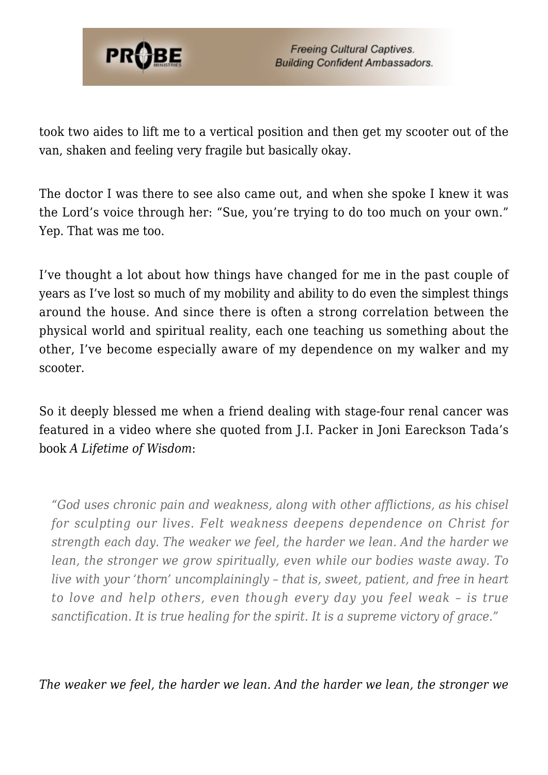

took two aides to lift me to a vertical position and then get my scooter out of the van, shaken and feeling very fragile but basically okay.

The doctor I was there to see also came out, and when she spoke I knew it was the Lord's voice through her: "Sue, you're trying to do too much on your own." Yep. That was me too.

I've thought a lot about how things have changed for me in the past couple of years as I've lost so much of my mobility and ability to do even the simplest things around the house. And since there is often a strong correlation between the physical world and spiritual reality, each one teaching us something about the other, I've become especially aware of my dependence on my walker and my scooter.

So it deeply blessed me when a friend dealing with stage-four renal cancer was featured in a video where she quoted from J.I. Packer in Joni Eareckson Tada's book *A Lifetime of Wisdom*:

*"God uses chronic pain and weakness, along with other afflictions, as his chisel for sculpting our lives. Felt weakness deepens dependence on Christ for strength each day. The weaker we feel, the harder we lean. And the harder we lean, the stronger we grow spiritually, even while our bodies waste away. To live with your 'thorn' uncomplainingly – that is, sweet, patient, and free in heart to love and help others, even though every day you feel weak – is true sanctification. It is true healing for the spirit. It is a supreme victory of grace."*

*The weaker we feel, the harder we lean. And the harder we lean, the stronger we*